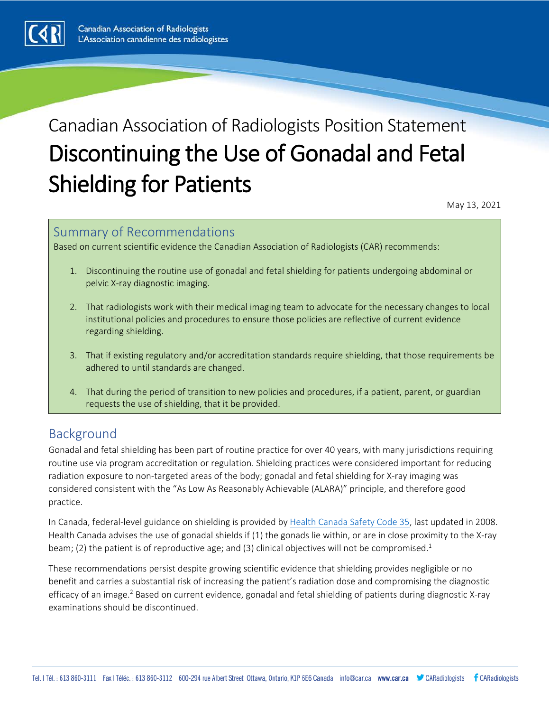

# Canadian Association of Radiologists Position Statement Discontinuing the Use of Gonadal and Fetal Shielding for Patients May 13, 2021

## Summary of Recommendations

Based on current scientific evidence the Canadian Association of Radiologists (CAR) recommends:

- 1. Discontinuing the routine use of gonadal and fetal shielding for patients undergoing abdominal or pelvic X-ray diagnostic imaging.
- 2. That radiologists work with their medical imaging team to advocate for the necessary changes to local institutional policies and procedures to ensure those policies are reflective of current evidence regarding shielding.
- 3. That if existing regulatory and/or accreditation standards require shielding, that those requirements be adhered to until standards are changed.
- 4. That during the period of transition to new policies and procedures, if a patient, parent, or guardian requests the use of shielding, that it be provided.

## Background

Gonadal and fetal shielding has been part of routine practice for over 40 years, with many jurisdictions requiring routine use via program accreditation or regulation. Shielding practices were considered important for reducing radiation exposure to non-targeted areas of the body; gonadal and fetal shielding for X-ray imaging was considered consistent with the "As Low As Reasonably Achievable (ALARA)" principle, and therefore good practice.

In Canada, federal-level guidance on shielding is provided by [Health Canada Safety Code 35,](https://www.canada.ca/en/health-canada/services/environmental-workplace-health/reports-publications/radiation/safety-code-35-safety-procedures-installation-use-control-equipment-large-medical-radiological-facilities-safety-code.html#sa32) last updated in 2008. Health Canada advises the use of gonadal shields if (1) the gonads lie within, or are in close proximity to the X-ray beam; (2) the patient is of reproductive age; and (3) clinical objectives will not be compromised.<sup>1</sup>

These recommendations persist despite growing scientific evidence that shielding provides negligible or no benefit and carries a substantial risk of increasing the patient's radiation dose and compromising the diagnostic efficacy of an image.<sup>2</sup> Based on current evidence, gonadal and fetal shielding of patients during diagnostic X-ray examinations should be discontinued.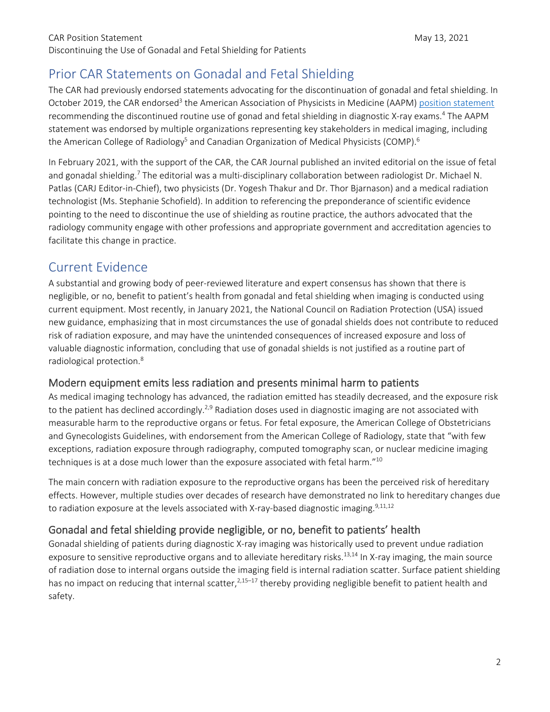## Prior CAR Statements on Gonadal and Fetal Shielding

The CAR had previously endorsed statements advocating for the discontinuation of gonadal and fetal shielding. In October 2019, the CAR endorsed<sup>3</sup> the American Association of Physicists in Medicine (AAPM) [position statement](https://www.aapm.org/org/policies/details.asp?id=468) recommending the discontinued routine use of gonad and fetal shielding in diagnostic X-ray exams.4 The AAPM statement was endorsed by multiple organizations representing key stakeholders in medical imaging, including the American College of Radiology<sup>5</sup> and Canadian Organization of Medical Physicists (COMP).<sup>6</sup>

In February 2021, with the support of the CAR, the CAR Journal published an invited editorial on the issue of fetal and gonadal shielding.7 The editorial was a multi-disciplinary collaboration between radiologist Dr. Michael N. Patlas (CARJ Editor-in-Chief), two physicists (Dr. Yogesh Thakur and Dr. Thor Bjarnason) and a medical radiation technologist (Ms. Stephanie Schofield). In addition to referencing the preponderance of scientific evidence pointing to the need to discontinue the use of shielding as routine practice, the authors advocated that the radiology community engage with other professions and appropriate government and accreditation agencies to facilitate this change in practice.

## Current Evidence

A substantial and growing body of peer-reviewed literature and expert consensus has shown that there is negligible, or no, benefit to patient's health from gonadal and fetal shielding when imaging is conducted using current equipment. Most recently, in January 2021, the National Council on Radiation Protection (USA) issued new guidance, emphasizing that in most circumstances the use of gonadal shields does not contribute to reduced risk of radiation exposure, and may have the unintended consequences of increased exposure and loss of valuable diagnostic information, concluding that use of gonadal shields is not justified as a routine part of radiological protection.8

#### Modern equipment emits less radiation and presents minimal harm to patients

As medical imaging technology has advanced, the radiation emitted has steadily decreased, and the exposure risk to the patient has declined accordingly.<sup>2,9</sup> Radiation doses used in diagnostic imaging are not associated with measurable harm to the reproductive organs or fetus. For fetal exposure, the American College of Obstetricians and Gynecologists Guidelines, with endorsement from the American College of Radiology, state that "with few exceptions, radiation exposure through radiography, computed tomography scan, or nuclear medicine imaging techniques is at a dose much lower than the exposure associated with fetal harm."<sup>10</sup>

The main concern with radiation exposure to the reproductive organs has been the perceived risk of hereditary effects. However, multiple studies over decades of research have demonstrated no link to hereditary changes due to radiation exposure at the levels associated with X-ray-based diagnostic imaging.<sup>9,11,12</sup>

### Gonadal and fetal shielding provide negligible, or no, benefit to patients' health

Gonadal shielding of patients during diagnostic X-ray imaging was historically used to prevent undue radiation exposure to sensitive reproductive organs and to alleviate hereditary risks.<sup>13,14</sup> In X-ray imaging, the main source of radiation dose to internal organs outside the imaging field is internal radiation scatter. Surface patient shielding has no impact on reducing that internal scatter,<sup>2,15–17</sup> thereby providing negligible benefit to patient health and safety.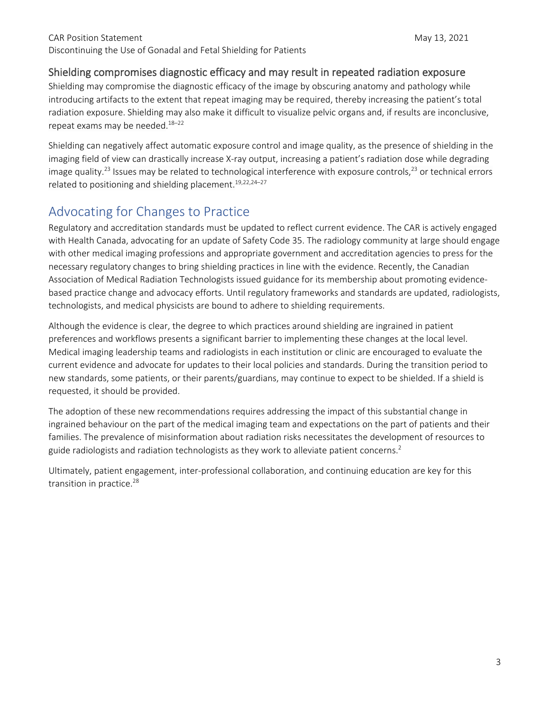#### Shielding compromises diagnostic efficacy and may result in repeated radiation exposure

Shielding may compromise the diagnostic efficacy of the image by obscuring anatomy and pathology while introducing artifacts to the extent that repeat imaging may be required, thereby increasing the patient's total radiation exposure. Shielding may also make it difficult to visualize pelvic organs and, if results are inconclusive, repeat exams may be needed.<sup>18-22</sup>

Shielding can negatively affect automatic exposure control and image quality, as the presence of shielding in the imaging field of view can drastically increase X-ray output, increasing a patient's radiation dose while degrading image quality.<sup>23</sup> Issues may be related to technological interference with exposure controls,<sup>23</sup> or technical errors related to positioning and shielding placement.<sup>19,22,24-27</sup>

## Advocating for Changes to Practice

Regulatory and accreditation standards must be updated to reflect current evidence. The CAR is actively engaged with Health Canada, advocating for an update of Safety Code 35. The radiology community at large should engage with other medical imaging professions and appropriate government and accreditation agencies to press for the necessary regulatory changes to bring shielding practices in line with the evidence. Recently, the Canadian Association of Medical Radiation Technologists issued guidance for its membership about promoting evidencebased practice change and advocacy efforts. Until regulatory frameworks and standards are updated, radiologists, technologists, and medical physicists are bound to adhere to shielding requirements.

Although the evidence is clear, the degree to which practices around shielding are ingrained in patient preferences and workflows presents a significant barrier to implementing these changes at the local level. Medical imaging leadership teams and radiologists in each institution or clinic are encouraged to evaluate the current evidence and advocate for updates to their local policies and standards. During the transition period to new standards, some patients, or their parents/guardians, may continue to expect to be shielded. If a shield is requested, it should be provided.

The adoption of these new recommendations requires addressing the impact of this substantial change in ingrained behaviour on the part of the medical imaging team and expectations on the part of patients and their families. The prevalence of misinformation about radiation risks necessitates the development of resources to guide radiologists and radiation technologists as they work to alleviate patient concerns.<sup>2</sup>

Ultimately, patient engagement, inter-professional collaboration, and continuing education are key for this transition in practice.<sup>28</sup>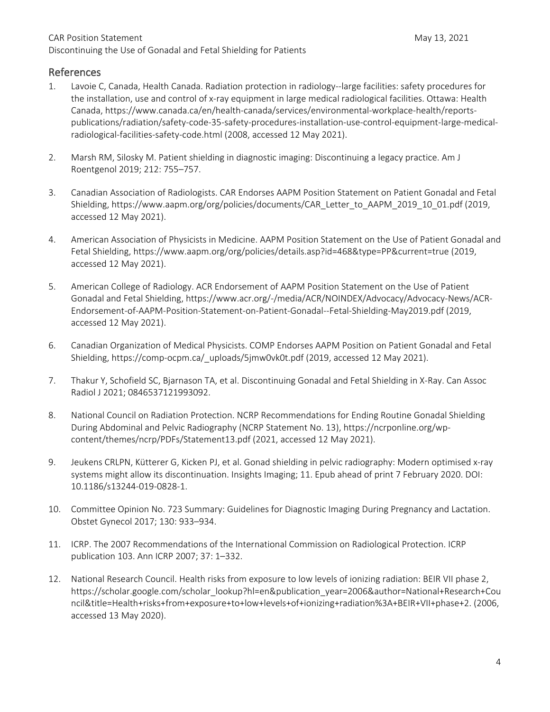#### References

- 1. Lavoie C, Canada, Health Canada. Radiation protection in radiology--large facilities: safety procedures for the installation, use and control of x-ray equipment in large medical radiological facilities. Ottawa: Health Canada, https://www.canada.ca/en/health-canada/services/environmental-workplace-health/reportspublications/radiation/safety-code-35-safety-procedures-installation-use-control-equipment-large-medicalradiological-facilities-safety-code.html (2008, accessed 12 May 2021).
- 2. Marsh RM, Silosky M. Patient shielding in diagnostic imaging: Discontinuing a legacy practice. Am J Roentgenol 2019; 212: 755–757.
- 3. Canadian Association of Radiologists. CAR Endorses AAPM Position Statement on Patient Gonadal and Fetal Shielding, https://www.aapm.org/org/policies/documents/CAR\_Letter\_to\_AAPM\_2019\_10\_01.pdf (2019, accessed 12 May 2021).
- 4. American Association of Physicists in Medicine. AAPM Position Statement on the Use of Patient Gonadal and Fetal Shielding, https://www.aapm.org/org/policies/details.asp?id=468&type=PP&current=true (2019, accessed 12 May 2021).
- 5. American College of Radiology. ACR Endorsement of AAPM Position Statement on the Use of Patient Gonadal and Fetal Shielding, https://www.acr.org/-/media/ACR/NOINDEX/Advocacy/Advocacy-News/ACR-Endorsement-of-AAPM-Position-Statement-on-Patient-Gonadal--Fetal-Shielding-May2019.pdf (2019, accessed 12 May 2021).
- 6. Canadian Organization of Medical Physicists. COMP Endorses AAPM Position on Patient Gonadal and Fetal Shielding, https://comp-ocpm.ca/\_uploads/5jmw0vk0t.pdf (2019, accessed 12 May 2021).
- 7. Thakur Y, Schofield SC, Bjarnason TA, et al. Discontinuing Gonadal and Fetal Shielding in X-Ray. Can Assoc Radiol J 2021; 0846537121993092.
- 8. National Council on Radiation Protection. NCRP Recommendations for Ending Routine Gonadal Shielding During Abdominal and Pelvic Radiography (NCRP Statement No. 13), https://ncrponline.org/wpcontent/themes/ncrp/PDFs/Statement13.pdf (2021, accessed 12 May 2021).
- 9. Jeukens CRLPN, Kütterer G, Kicken PJ, et al. Gonad shielding in pelvic radiography: Modern optimised x-ray systems might allow its discontinuation. Insights Imaging; 11. Epub ahead of print 7 February 2020. DOI: 10.1186/s13244-019-0828-1.
- 10. Committee Opinion No. 723 Summary: Guidelines for Diagnostic Imaging During Pregnancy and Lactation. Obstet Gynecol 2017; 130: 933–934.
- 11. ICRP. The 2007 Recommendations of the International Commission on Radiological Protection. ICRP publication 103. Ann ICRP 2007; 37: 1–332.
- 12. National Research Council. Health risks from exposure to low levels of ionizing radiation: BEIR VII phase 2, https://scholar.google.com/scholar\_lookup?hl=en&publication\_year=2006&author=National+Research+Cou ncil&title=Health+risks+from+exposure+to+low+levels+of+ionizing+radiation%3A+BEIR+VII+phase+2. (2006, accessed 13 May 2020).